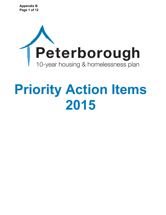

# **Priority Action Items 2015**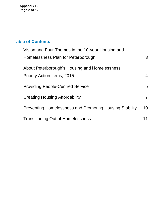**Appendix B Page 2 of 12**

# **Table of Contents**

| Vision and Four Themes in the 10-year Housing and              |                |
|----------------------------------------------------------------|----------------|
| Homelessness Plan for Peterborough                             | 3              |
| About Peterborough's Housing and Homelessness                  |                |
| <b>Priority Action Items, 2015</b>                             | $\overline{4}$ |
| <b>Providing People-Centred Service</b>                        | 5              |
| <b>Creating Housing Affordability</b>                          | $\overline{7}$ |
| <b>Preventing Homelessness and Promoting Housing Stability</b> | 10             |
| <b>Transitioning Out of Homelessness</b>                       | 11             |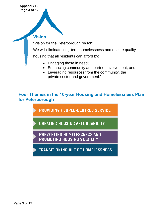### **Appendix B Page 3 of 12**

### <span id="page-2-0"></span>**Vision**

"Vision for the Peterborough region:

We will eliminate long-term homelessness and ensure quality

housing that all residents can afford by:

- Engaging those in need;
- Enhancing community and partner involvement; and
- Leveraging resources from the community, the private sector and government."

**Four Themes in the 10-year Housing and Homelessness Plan for Peterborough** 

**PROVIDING PEOPLE-CENTRED SERVICE** 

**CREATING HOUSING AFFORDABILITY** 

PREVENTING HOMELESSNESS AND PROMOTING HOUSING STABILITY

<span id="page-2-1"></span>**TRANSITIONING OUT OF HOMELESSNESS**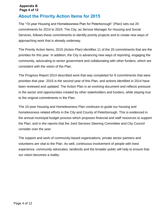### **Appendix B Page 4 of 12**

# **About the Priority Action Items for 2015**

The "10-year Housing and Homelessness Plan for Peterborough" (Plan) sets out 20 commitments for 2014 to 2024. The City, as Service Manager for Housing and Social Services, follows these commitments to identify priority projects and to create new ways of approaching work that is already underway.

The Priority Action Items, 2015 (Action Plan) identifies 11 of the 20 commitments that are the priorities for this year. In addition, the City is advancing new ways of reporting, engaging the community, advocating to senior government and collaborating with other funders, which are consistent with the vision of the Plan.

The Progress Report 2014 described work that was completed for 9 commitments that were priorities that year. 2015 is the second year of this Plan, and actions identified in 2014 have been reviewed and updated. The Action Plan is an evolving document and reflects pressure in the sector and opportunities created by other stakeholders and funders, while staying true to the original commitments in the Plan.

The 10-year Housing and Homelessness Plan continues to guide our housing and homelessness related efforts in the City and County of Peterborough. This is evidenced in the annual municipal budget process which proposes financial and staff resources to support the Plan, and in the reports that the Joint Services Steering Committee and City Council consider over the year.

The support and work of community-based organizations, private sector partners and volunteers are vital to the Plan. As well, continuous involvement of people with lived experience, community advocates, landlords and the broader public will help to ensure that our vision becomes a reality.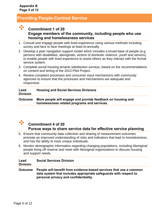# <span id="page-4-0"></span>**Providing People-Centred Service**



- 1. Consult and engage people with lived experience using various methods including survey and face to face meetings at least bi-annually.
- 2. Develop a peer navigation support model which includes a broad base of people (e.g. persons with disabilities, aboriginals, victims of domestic violence, youth and seniors) to enable people with lived experience to assist others as they interact with the formal service system.
- 3. Complete social housing tenants satisfaction surveys, based on the recommendations on content and timing of the 2013 Pilot Project.
- 4. Review complaint processes and consumer input mechanisms with community agencies to ensure that the processes and mechanisms are adequate and responsive.

| Lead<br><b>Division</b> | <b>Housing and Social Services Divisions</b>                                                               |
|-------------------------|------------------------------------------------------------------------------------------------------------|
| <b>Outcome</b>          | More people will engage and provide feedback on housing and<br>homelessness related programs and services. |



## **Commitment 4 of 20 Pursue ways to share service data for effective service planning**

- 5. Ensure that community data collection and sharing of measurement outcomes promote an improved understanding of risks and indicators that lead to homelessness, and has the ability to track unique individuals.
- 6. Monitor demographic information regarding changing populations, including Aboriginal people living off reserve and meet with Aboriginal organizations to discuss housing and support needs.

| Lead<br><b>Division</b> | <b>Social Services Division</b>                                                                                                                                                 |
|-------------------------|---------------------------------------------------------------------------------------------------------------------------------------------------------------------------------|
| <b>Outcome</b>          | People will benefit from evidence-based services that use a common<br>data system that includes appropriate safeguards with respect to<br>personal privacy and confidentiality. |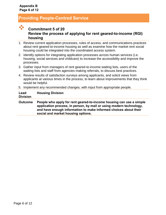# **Providing People-Centred Service**

# **Commitment 5 of 20 Review the process of applying for rent geared-to-income (RGI) housing**

- 1. Review current application processes, rules of access, and communications practices about rent geared-to-income housing as well as examine how the market rent social housing could be integrated into the coordinated access system.
- 2. Identify options for integrating application processes across human services (i.e. housing, social services and childcare) to increase the accessibility and improve the processes.
- 3. Gather input from managers of rent geared-to-income waiting lists, users of the waiting lists and staff from agencies making referrals, to discuss best practices.
- 4. Review results of satisfaction surveys among applicants, and solicit views from applicants at various times in the process, to learn about improvements that they think would be helpful.
- 5. Implement any recommended changes, with input from appropriate people.

**Lead Division Housing Division**

**Outcome People who apply for rent geared-to-income housing can use a simple application process, in person, by mail or using modern technology, and have enough information to make informed choices about their social and market housing options.**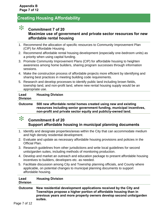# <span id="page-6-0"></span>**Creating Housing Affordability**

### $\ast$ **Commitment 7 of 20 Maximize use of government and private sector resources for new affordable rental housing**

- 1. Recommend the allocation of specific resources to Community Improvement Plan (CIP) for Affordable Housing.
- 2. Recommend affordable rental housing development (especially one-bedroom units) as a priority when using capital funding.
- 3. Promote Community Improvement Plans (CIP) for affordable housing to heighten awareness among home builders, sharing program successes through information sessions.
- 4. Make the construction process of affordable projects more efficient by identifying and sharing best practices in meeting building code requirements.
- 5. Research and develop processes to identify public land including brown fields, township land, and non-profit land, where new rental housing supply would be an appropriate use.

#### **Lead Division Housing Division**

**Outcome 500 new affordable rental homes created using new and existing resources including senior government funding, municipal incentives, non-profit and private sector equity and publicly-owned land.**

### $\ast$ **Commitment 8 of 20 Support affordable housing in municipal planning documents**

- 1. Identify and designate properties/areas within the City that can accommodate medium and high density residential development.
- 2. Evaluate and update as necessary affordable housing provisions and policies in the Official Plan.
- 3. Research guidelines from other jurisdictions and write local guidelines for second units/garden suites, including methods of monitoring production.
- 4. Develop and market an outreach and education package to present affordable housing incentives to builders, developers etc. as needed.
- 5. Facilitate discussion among City and Township planning officials, and County where applicable, on potential changes to municipal planning documents to support affordable housing.

| Lead            | <b>Housing Division</b> |
|-----------------|-------------------------|
| <b>Division</b> |                         |
|                 |                         |

**Outcome New residential development applications received by the City and Townships propose a higher portion of affordable housing than in previous years and more property owners develop second units/garden suites.**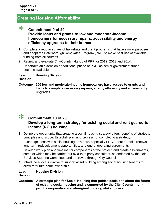# **Creating Housing Affordability**

# $\ast$

**Commitment 9 of 20**

### **Provide loans and grants to low and moderate-income homeowners for necessary repairs, accessibility and energy efficiency upgrades to their homes**

- 1. Complete a regular survey of tax rebate and grant programs that have similar purposes and adapt the Peterborough Renovates Program (PRP) to make best use of available funding from all sources.
- 2. Review and evaluate City-County take-up of PRP for 2012, 2013 and 2014.
- 3. Undertake an extension or additional phase of PRP, as senior government funds become available.

#### **Lead Division Housing Division**

**Outcome 200 low and moderate-income homeowners have access to grants and loans to complete necessary repairs, energy efficiency and accessibility upgrades.**



### **Commitment 10 of 20 Develop a long-term strategy for existing social and rent geared-toincome (RGI) housing**

- 1. Define the opportunity that creating a social housing strategy offers: benefits of strategy, principles and scope. Establish plan and process for completing a strategy.
- 2. Exchange ideas with social housing providers, especially PHC, about portfolio renewal, long-term redevelopment opportunities, and end of operating agreements.
- 3. Develop work plan and timeline for components of the project, and create assignments, some of which may be carried out by a third party consultant, as endorsed by the Joint Services Steering Committee and approved through City Council.
- 4. Introduce a local initiative to support asset building among social housing tenants to allow for future home ownership.

#### **Lead Division Housing Division**

**Outcome A strategic plan for Social Housing that guides decisions about the future of existing social housing and is supported by the City, County, nonprofit, co-operative and aboriginal housing stakeholders.**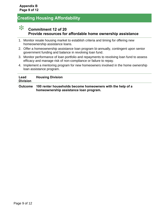# **Creating Housing Affordability**



### **Commitment 12 of 20 Provide resources for affordable home ownership assistance**

- 1. Monitor resale housing market to establish criteria and timing for offering new homeownership assistance loans.
- 2. Offer a homeownership assistance loan program bi-annually, contingent upon senior government funding and balance in revolving loan fund.
- 3. Monitor performance of loan portfolio and repayments to revolving loan fund to assess efficacy and manage risk of non-compliance or failure to repay.
- 4. Implement a mentoring program for new homeowners involved in the home ownership loan assistance program.

| Lead<br><b>Division</b> | <b>Housing Division</b>                                                                                      |
|-------------------------|--------------------------------------------------------------------------------------------------------------|
|                         | Outcome 100 renter households become homeowners with the help of a<br>homeownership assistance loan program. |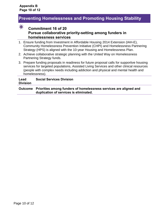### <span id="page-9-0"></span>**Preventing Homelessness and Promoting Housing Stability**



### **Commitment 16 of 20 Pursue collaborative priority-setting among funders in homelessness services**

- 1. Ensure funding from Investment in Affordable Housing 2014 Extension (IAH-E), Community Homelessness Prevention Initiative (CHPI) and Homelessness Partnering Strategy (HPS) is aligned with the 10-year Housing and Homelessness Plan.
- 2. Achieve collaborative strategic planning with the United Way on Homelessness Partnering Strategy funds.
- 3. Prepare funding proposals in readiness for future proposal calls for supportive housing services for targeted populations, Assisted Living Services and other clinical resources (people with complex needs including addiction and physical and mental health and homelessness).

#### **Lead Division Social Services Division**

### **Outcome Priorities among funders of homelessness services are aligned and duplication of services is eliminated.**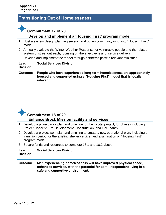# <span id="page-10-0"></span>**Transitioning Out of Homelessness**

# **Commitment 17 of 20**

**relevant.**

### **Develop and implement a 'Housing First' program model**

- 1. Host a system design planning session and obtain community input into "Housing First" model.
- 2. Annually evaluate the Winter Weather Response for vulnerable people and the related system of street outreach, focusing on the effectiveness of service delivery.
- 3. Develop and implement the model through partnerships with relevant ministries.

| Lead<br><b>Division</b> | <b>Social Services Division</b>                                                                                                            |
|-------------------------|--------------------------------------------------------------------------------------------------------------------------------------------|
| <b>Outcome</b>          | People who have experienced long-term homelessness are appropriately<br>housed and supported using a "Housing First" model that is locally |



- 1. Develop a project work plan and time line for the capital project, for phases including Project Concept, Pre-Development, Construction, and Occupancy.
- 2. Develop a project work plan and time line to create a new operational plan, including a transition period for the existing shelter service, and examination of "Housing First" program model.
- 3. Secure funds and resources to complete 18.1 and 18.2 above.

#### **Lead Division Social Services Division**

**Outcome Men experiencing homelessness will have improved physical space, enhanced services, with the potential for semi-independent living in a safe and supportive environment.**